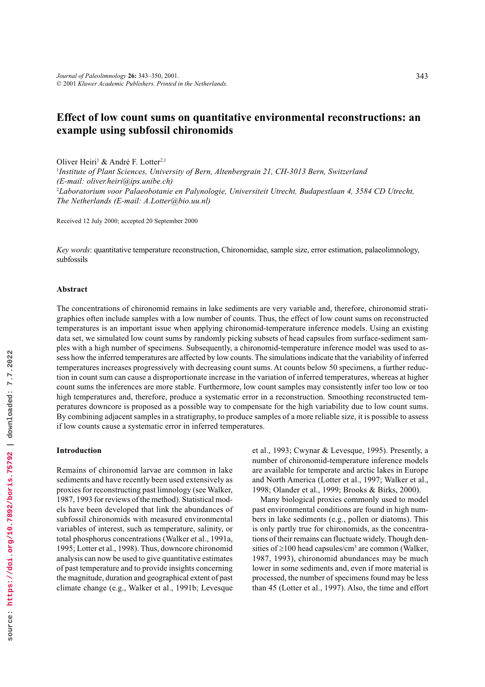# **Effect of low count sums on quantitative environmental reconstructions: an example using subfossil chironomids**

Oliver Heiri<sup>1</sup> & André F. Lotter<sup>2,1</sup>

1 *Institute of Plant Sciences, University of Bern, Altenbergrain 21, CH-3013 Bern, Switzerland (E-mail: oliver.heiri@ips.unibe.ch)* 2 *Laboratorium voor Palaeobotanie en Palynologie, Universiteit Utrecht, Budapestlaan 4, 3584 CD Utrecht, The Netherlands (E-mail: A.Lotter@bio.uu.nl)*

Received 12 July 2000; accepted 20 September 2000

*Key words*: quantitative temperature reconstruction, Chironomidae, sample size, error estimation, palaeolimnology, subfossils

#### **Abstract**

The concentrations of chironomid remains in lake sediments are very variable and, therefore, chironomid stratigraphies often include samples with a low number of counts. Thus, the effect of low count sums on reconstructed temperatures is an important issue when applying chironomid-temperature inference models. Using an existing data set, we simulated low count sums by randomly picking subsets of head capsules from surface-sediment samples with a high number of specimens. Subsequently, a chironomid-temperature inference model was used to assess how the inferred temperatures are affected by low counts. The simulations indicate that the variability of inferred temperatures increases progressively with decreasing count sums. At counts below 50 specimens, a further reduction in count sum can cause a disproportionate increase in the variation of inferred temperatures, whereas at higher count sums the inferences are more stable. Furthermore, low count samples may consistently infer too low or too high temperatures and, therefore, produce a systematic error in a reconstruction. Smoothing reconstructed temperatures downcore is proposed as a possible way to compensate for the high variability due to low count sums. By combining adjacent samples in a stratigraphy, to produce samples of a more reliable size, it is possible to assess if low counts cause a systematic error in inferred temperatures.

#### **Introduction**

Remains of chironomid larvae are common in lake sediments and have recently been used extensively as proxies for reconstructing past limnology (see Walker, 1987, 1993 for reviews of the method). Statistical models have been developed that link the abundances of subfossil chironomids with measured environmental variables of interest, such as temperature, salinity, or total phosphorus concentrations (Walker et al., 1991a, 1995; Lotter et al., 1998). Thus, downcore chironomid analysis can now be used to give quantitative estimates of past temperature and to provide insights concerning the magnitude, duration and geographical extent of past climate change (e.g., Walker et al., 1991b; Levesque

et al., 1993; Cwynar & Levesque, 1995). Presently, a number of chironomid-temperature inference models are available for temperate and arctic lakes in Europe and North America (Lotter et al., 1997; Walker et al., 1998; Olander et al., 1999; Brooks & Birks, 2000).

Many biological proxies commonly used to model past environmental conditions are found in high numbers in lake sediments (e.g., pollen or diatoms). This is only partly true for chironomids, as the concentrations of their remains can fluctuate widely. Though densities of ≥100 head capsules/cm<sup>3</sup> are common (Walker, 1987, 1993), chironomid abundances may be much lower in some sediments and, even if more material is processed, the number of specimens found may be less than 45 (Lotter et al., 1997). Also, the time and effort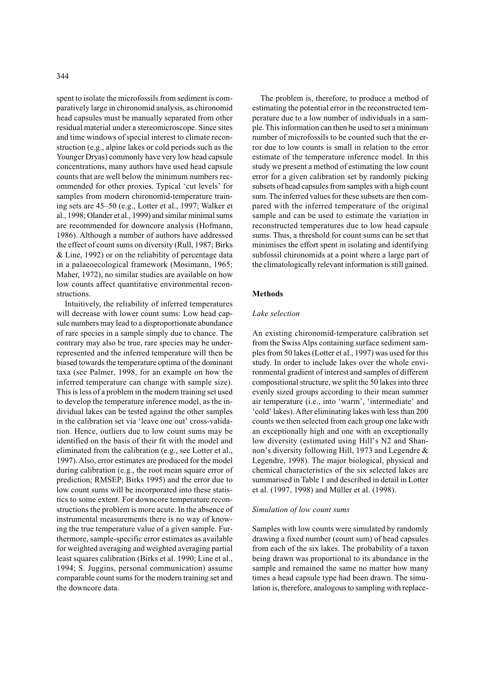spent to isolate the microfossils from sediment is comparatively large in chironomid analysis, as chironomid head capsules must be manually separated from other residual material under a stereomicroscope. Since sites and time windows of special interest to climate reconstruction (e.g., alpine lakes or cold periods such as the Younger Dryas) commonly have very low head capsule concentrations, many authors have used head capsule counts that are well below the minimum numbers recommended for other proxies. Typical 'cut levels' for samples from modern chironomid-temperature training sets are 45–50 (e.g., Lotter et al., 1997; Walker et al., 1998; Olander et al., 1999) and similar minimal sums are recommended for downcore analysis (Hofmann, 1986). Although a number of authors have addressed the effect of count sums on diversity (Rull, 1987; Birks & Line, 1992) or on the reliability of percentage data in a palaeoecological framework (Mosimann, 1965; Maher, 1972), no similar studies are available on how low counts affect quantitative environmental reconstructions.

Intuitively, the reliability of inferred temperatures will decrease with lower count sums: Low head capsule numbers may lead to a disproportionate abundance of rare species in a sample simply due to chance. The contrary may also be true, rare species may be underrepresented and the inferred temperature will then be biased towards the temperature optima of the dominant taxa (see Palmer, 1998, for an example on how the inferred temperature can change with sample size). This is less of a problem in the modern training set used to develop the temperature inference model, as the individual lakes can be tested against the other samples in the calibration set via 'leave one out' cross-validation. Hence, outliers due to low count sums may be identified on the basis of their fit with the model and eliminated from the calibration (e.g., see Lotter et al., 1997). Also, error estimates are produced for the model during calibration (e.g., the root mean square error of prediction; RMSEP; Birks 1995) and the error due to low count sums will be incorporated into these statistics to some extent. For downcore temperature reconstructions the problem is more acute. In the absence of instrumental measurements there is no way of knowing the true temperature value of a given sample. Furthermore, sample-specific error estimates as available for weighted averaging and weighted averaging partial least squares calibration (Birks et al. 1990; Line et al., 1994; S. Juggins, personal communication) assume comparable count sums for the modern training set and the downcore data.

The problem is, therefore, to produce a method of estimating the potential error in the reconstructed temperature due to a low number of individuals in a sample. This information can then be used to set a minimum number of microfossils to be counted such that the error due to low counts is small in relation to the error estimate of the temperature inference model. In this study we present a method of estimating the low count error for a given calibration set by randomly picking subsets of head capsules from samples with a high count sum. The inferred values for these subsets are then compared with the inferred temperature of the original sample and can be used to estimate the variation in reconstructed temperatures due to low head capsule sums. Thus, a threshold for count sums can be set that minimises the effort spent in isolating and identifying subfossil chironomids at a point where a large part of the climatologically relevant information is still gained.

### **Methods**

#### *Lake selection*

An existing chironomid-temperature calibration set from the Swiss Alps containing surface sediment samples from 50 lakes (Lotter et al., 1997) was used for this study. In order to include lakes over the whole environmental gradient of interest and samples of different compositional structure, we split the 50 lakes into three evenly sized groups according to their mean summer air temperature (i.e., into 'warm', 'intermediate' and 'cold' lakes). After eliminating lakes with less than 200 counts we then selected from each group one lake with an exceptionally high and one with an exceptionally low diversity (estimated using Hill's N2 and Shannon's diversity following Hill, 1973 and Legendre & Legendre, 1998). The major biological, physical and chemical characteristics of the six selected lakes are summarised in Table 1 and described in detail in Lotter et al. (1997, 1998) and Müller et al. (1998).

#### *Simulation of low count sums*

Samples with low counts were simulated by randomly drawing a fixed number (count sum) of head capsules from each of the six lakes. The probability of a taxon being drawn was proportional to its abundance in the sample and remained the same no matter how many times a head capsule type had been drawn. The simulation is, therefore, analogous to sampling with replace-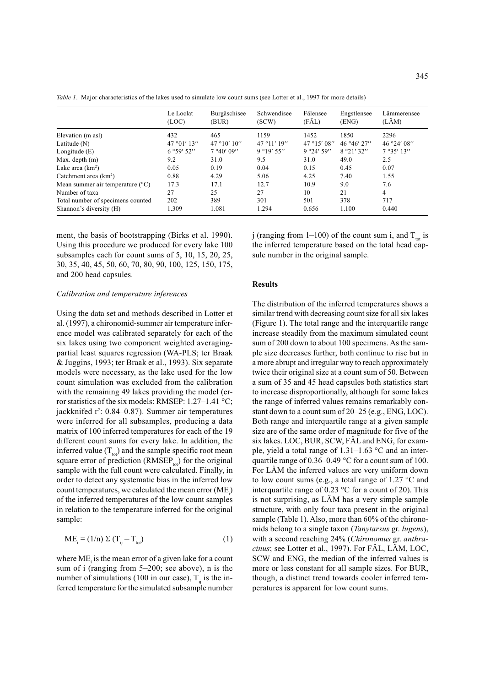|                                             | Le Loclat<br>(LOC) | Burgäschisee<br>(BUR) | Schwendisee<br>(SCW) | Fälensee<br>(FAL) | Engstlensee<br>(ENG) | Lämmerensee<br>(LAM) |
|---------------------------------------------|--------------------|-----------------------|----------------------|-------------------|----------------------|----------------------|
| Elevation (m asl)                           | 432                | 465                   | 1159                 | 1452              | 1850                 | 2296                 |
| Latitude $(N)$                              | 47°01'13''         | 47 ° 10' 10"          | 47 ° 11' 19"         | 47 ° 15' 08"      | 46 ° 46' 27"         | 46 ° 24' 08"         |
| Longitude $(E)$                             | 6°59'52''          | 7°40'09''             | 9°19'55''            | 9°24'59''         | 8°21'32''            | 7°35'13''            |
| Max. depth $(m)$                            | 9.2                | 31.0                  | 9.5                  | 31.0              | 49.0                 | 2.5                  |
| Lake area $(km^2)$                          | 0.05               | 0.19                  | 0.04                 | 0.15              | 0.45                 | 0.07                 |
| Catchment area $(km2)$                      | 0.88               | 4.29                  | 5.06                 | 4.25              | 7.40                 | 1.55                 |
| Mean summer air temperature $({}^{\circ}C)$ | 17.3               | 17.1                  | 12.7                 | 10.9              | 9.0                  | 7.6                  |
| Number of taxa                              | 27                 | 25                    | 27                   | 10                | 21                   | $\overline{4}$       |
| Total number of specimens counted           | 202                | 389                   | 301                  | 501               | 378                  | 717                  |
| Shannon's diversity (H)                     | 1.309              | 1.081                 | 1.294                | 0.656             | 1.100                | 0.440                |

*Table 1*. Major characteristics of the lakes used to simulate low count sums (see Lotter et al., 1997 for more details)

ment, the basis of bootstrapping (Birks et al. 1990). Using this procedure we produced for every lake 100 subsamples each for count sums of 5, 10, 15, 20, 25, 30, 35, 40, 45, 50, 60, 70, 80, 90, 100, 125, 150, 175, and 200 head capsules.

#### *Calibration and temperature inferences*

Using the data set and methods described in Lotter et al. (1997), a chironomid-summer air temperature inference model was calibrated separately for each of the six lakes using two component weighted averagingpartial least squares regression (WA-PLS; ter Braak & Juggins, 1993; ter Braak et al., 1993). Six separate models were necessary, as the lake used for the low count simulation was excluded from the calibration with the remaining 49 lakes providing the model (error statistics of the six models: RMSEP: 1.27–1.41 °C; jackknifed r<sup>2</sup>: 0.84–0.87). Summer air temperatures were inferred for all subsamples, producing a data matrix of 100 inferred temperatures for each of the 19 different count sums for every lake. In addition, the inferred value  $(T_{tot})$  and the sample specific root mean square error of prediction  $(RMSEP_{tot})$  for the original sample with the full count were calculated. Finally, in order to detect any systematic bias in the inferred low count temperatures, we calculated the mean error ( $\rm ME_{i}$ ) of the inferred temperatures of the low count samples in relation to the temperature inferred for the original sample:

$$
ME_i = (1/n) \Sigma (T_{ij} - T_{tot})
$$
 (1)

where  $ME<sub>i</sub>$  is the mean error of a given lake for a count sum of i (ranging from 5–200; see above), n is the number of simulations (100 in our case),  $T_{ii}$  is the inferred temperature for the simulated subsample number j (ranging from 1–100) of the count sum i, and  $T_{tot}$  is the inferred temperature based on the total head capsule number in the original sample.

#### **Results**

The distribution of the inferred temperatures shows a similar trend with decreasing count size for all six lakes (Figure 1). The total range and the interquartile range increase steadily from the maximum simulated count sum of 200 down to about 100 specimens. As the sample size decreases further, both continue to rise but in a more abrupt and irregular way to reach approximately twice their original size at a count sum of 50. Between a sum of 35 and 45 head capsules both statistics start to increase disproportionally, although for some lakes the range of inferred values remains remarkably constant down to a count sum of 20–25 (e.g., ENG, LOC). Both range and interquartile range at a given sample size are of the same order of magnitude for five of the six lakes. LOC, BUR, SCW, FÄL and ENG, for example, yield a total range of  $1.31-1.63$  °C and an interquartile range of 0.36–0.49 °C for a count sum of 100. For LÄM the inferred values are very uniform down to low count sums (e.g., a total range of  $1.27 \degree$ C and interquartile range of  $0.23 \text{ °C}$  for a count of 20). This is not surprising, as LÄM has a very simple sample structure, with only four taxa present in the original sample (Table 1). Also, more than 60% of the chironomids belong to a single taxon (*Tanytarsus* gr. *lugens*), with a second reaching 24% (*Chironomus* gr. *anthracinus*; see Lotter et al., 1997). For FÄL, LÄM, LOC, SCW and ENG, the median of the inferred values is more or less constant for all sample sizes. For BUR, though, a distinct trend towards cooler inferred temperatures is apparent for low count sums.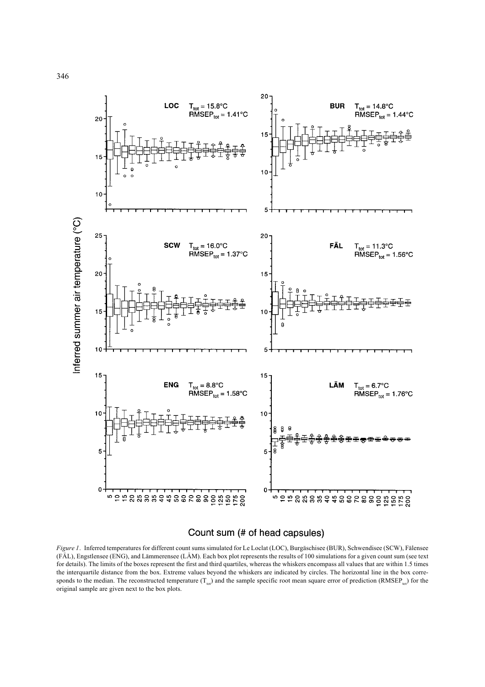

# Count sum (# of head capsules)

*Figure 1*. Inferred temperatures for different count sums simulated for Le Loclat (LOC), Burgäschisee (BUR), Schwendisee (SCW), Fälensee (FÄL), Engstlensee (ENG), and Lämmerensee (LÄM). Each box plot represents the results of 100 simulations for a given count sum (see text for details). The limits of the boxes represent the first and third quartiles, whereas the whiskers encompass all values that are within 1.5 times the interquartile distance from the box. Extreme values beyond the whiskers are indicated by circles. The horizontal line in the box corresponds to the median. The reconstructed temperature  $(T_{tot})$  and the sample specific root mean square error of prediction (RMSEP<sub>tot</sub>) for the original sample are given next to the box plots.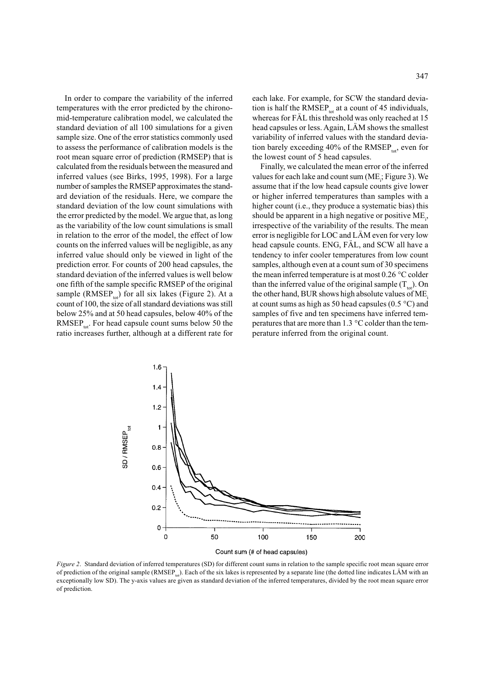In order to compare the variability of the inferred temperatures with the error predicted by the chironomid-temperature calibration model, we calculated the standard deviation of all 100 simulations for a given sample size. One of the error statistics commonly used to assess the performance of calibration models is the root mean square error of prediction (RMSEP) that is calculated from the residuals between the measured and inferred values (see Birks, 1995, 1998). For a large number of samples the RMSEP approximates the standard deviation of the residuals. Here, we compare the standard deviation of the low count simulations with the error predicted by the model. We argue that, as long as the variability of the low count simulations is small in relation to the error of the model, the effect of low counts on the inferred values will be negligible, as any inferred value should only be viewed in light of the prediction error. For counts of 200 head capsules, the standard deviation of the inferred values is well below one fifth of the sample specific RMSEP of the original sample (RMSEP<sub>tot</sub>) for all six lakes (Figure 2). At a count of 100, the size of all standard deviations was still below 25% and at 50 head capsules, below 40% of the RMSEP<sub>tot</sub>. For head capsule count sums below 50 the ratio increases further, although at a different rate for each lake. For example, for SCW the standard deviation is half the RMSEP<sub>tot</sub> at a count of 45 individuals, whereas for FÄL this threshold was only reached at 15 head capsules or less. Again, LÄM shows the smallest variability of inferred values with the standard deviation barely exceeding  $40\%$  of the RMSEP<sub>tot</sub>, even for the lowest count of 5 head capsules.

Finally, we calculated the mean error of the inferred values for each lake and count sum (ME<sub>;</sub>; Figure 3). We assume that if the low head capsule counts give lower or higher inferred temperatures than samples with a higher count (i.e., they produce a systematic bias) this should be apparent in a high negative or positive  $ME$ <sub>i</sub>, irrespective of the variability of the results. The mean error is negligible for LOC and LÄM even for very low head capsule counts. ENG, FÄL, and SCW all have a tendency to infer cooler temperatures from low count samples, although even at a count sum of 30 specimens the mean inferred temperature is at most 0.26 °C colder than the inferred value of the original sample  $(T_{\ldots})$ . On the other hand, BUR shows high absolute values of ME. at count sums as high as 50 head capsules  $(0.5 \degree C)$  and samples of five and ten specimens have inferred temperatures that are more than 1.3 °C colder than the temperature inferred from the original count.



*Figure 2*. Standard deviation of inferred temperatures (SD) for different count sums in relation to the sample specific root mean square error of prediction of the original sample  $(RMSEP_{tot})$ . Each of the six lakes is represented by a separate line (the dotted line indicates LÄM with an exceptionally low SD). The y-axis values are given as standard deviation of the inferred temperatures, divided by the root mean square error of prediction.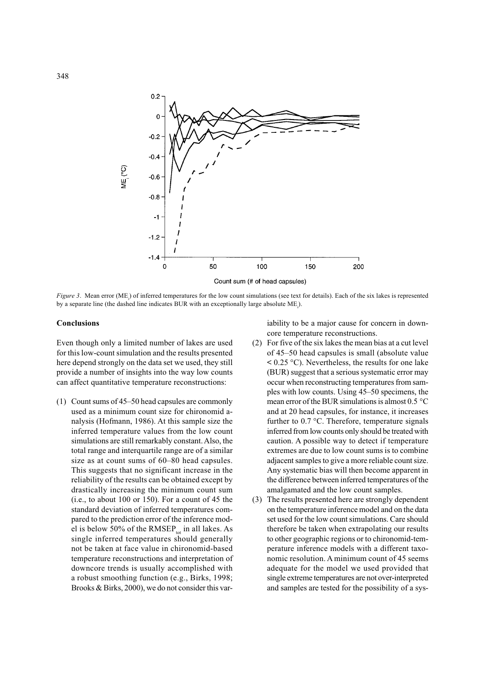

*Figure 3*. Mean error (ME<sub>i</sub>) of inferred temperatures for the low count simulations (see text for details). Each of the six lakes is represented by a separate line (the dashed line indicates BUR with an exceptionally large absolute  $ME$ <sub>i</sub>).

### **Conclusions**

Even though only a limited number of lakes are used for this low-count simulation and the results presented here depend strongly on the data set we used, they still provide a number of insights into the way low counts can affect quantitative temperature reconstructions:

(1) Count sums of 45–50 head capsules are commonly used as a minimum count size for chironomid analysis (Hofmann, 1986). At this sample size the inferred temperature values from the low count simulations are still remarkably constant. Also, the total range and interquartile range are of a similar size as at count sums of 60–80 head capsules. This suggests that no significant increase in the reliability of the results can be obtained except by drastically increasing the minimum count sum (i.e., to about 100 or 150). For a count of 45 the standard deviation of inferred temperatures compared to the prediction error of the inference model is below 50% of the RMSEP<sub>tot</sub> in all lakes. As single inferred temperatures should generally not be taken at face value in chironomid-based temperature reconstructions and interpretation of downcore trends is usually accomplished with a robust smoothing function (e.g., Birks, 1998; Brooks & Birks, 2000), we do not consider this variability to be a major cause for concern in downcore temperature reconstructions.

- (2) For five of the six lakes the mean bias at a cut level of 45–50 head capsules is small (absolute value  $< 0.25$  °C). Nevertheless, the results for one lake (BUR) suggest that a serious systematic error may occur when reconstructing temperatures from samples with low counts. Using 45–50 specimens, the mean error of the BUR simulations is almost 0.5 °C and at 20 head capsules, for instance, it increases further to 0.7 °C. Therefore, temperature signals inferred from low counts only should be treated with caution. A possible way to detect if temperature extremes are due to low count sums is to combine adjacent samples to give a more reliable count size. Any systematic bias will then become apparent in the difference between inferred temperatures of the amalgamated and the low count samples.
- (3) The results presented here are strongly dependent on the temperature inference model and on the data set used for the low count simulations. Care should therefore be taken when extrapolating our results to other geographic regions or to chironomid-temperature inference models with a different taxonomic resolution. A minimum count of 45 seems adequate for the model we used provided that single extreme temperatures are not over-interpreted and samples are tested for the possibility of a sys-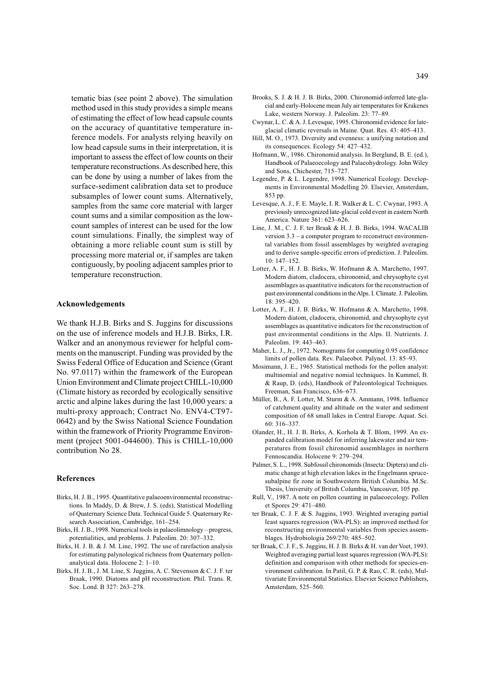tematic bias (see point 2 above). The simulation method used in this study provides a simple means of estimating the effect of low head capsule counts on the accuracy of quantitative temperature inference models. For analysts relying heavily on low head capsule sums in their interpretation, it is important to assess the effect of low counts on their temperature reconstructions. As described here, this can be done by using a number of lakes from the surface-sediment calibration data set to produce subsamples of lower count sums. Alternatively, samples from the same core material with larger count sums and a similar composition as the lowcount samples of interest can be used for the low count simulations. Finally, the simplest way of obtaining a more reliable count sum is still by processing more material or, if samples are taken contiguously, by pooling adjacent samples prior to temperature reconstruction.

#### **Acknowledgements**

We thank H.J.B. Birks and S. Juggins for discussions on the use of inference models and H.J.B. Birks, I.R. Walker and an anonymous reviewer for helpful comments on the manuscript. Funding was provided by the Swiss Federal Office of Education and Science (Grant No. 97.0117) within the framework of the European Union Environment and Climate project CHILL-10,000 (Climate history as recorded by ecologically sensitive arctic and alpine lakes during the last 10,000 years: a multi-proxy approach; Contract No. ENV4-CT97- 0642) and by the Swiss National Science Foundation within the framework of Priority Programme Environment (project 5001-044600). This is CHILL-10,000 contribution No 28.

#### **References**

- Birks, H. J. B., 1995. Quantitative palaeoenvironmental reconstructions. In Maddy, D. & Brew, J. S. (eds), Statistical Modelling of Quaternary Science Data. Technical Guide 5. Quaternary Research Association, Cambridge, 161–254.
- Birks, H. J. B., 1998. Numerical tools in palaeolimnology progress, potentialities, and problems. J. Paleolim. 20: 307–332.
- Birks, H. J. B. & J. M. Line, 1992. The use of rarefaction analysis for estimating palynological richness from Quaternary pollenanalytical data. Holocene 2: 1–10.
- Birks, H. J. B., J. M. Line, S. Juggins, A. C. Stevenson & C. J. F. ter Braak, 1990. Diatoms and pH reconstruction. Phil. Trans. R. Soc. Lond. B 327: 263–278.
- Brooks, S. J. & H. J. B. Birks, 2000. Chironomid-inferred late-glacial and early-Holocene mean July air temperatures for Krakenes Lake, western Norway. J. Paleolim. 23: 77–89.
- Cwynar, L. C. & A. J. Levesque, 1995. Chironomid evidence for lateglacial climatic reversals in Maine. Quat. Res. 43: 405–413.
- Hill, M. O., 1973. Diversity and evenness: a unifying notation and its consequences. Ecology 54: 427–432.
- Hofmann, W., 1986. Chironomid analysis. In Berglund, B. E. (ed.), Handbook of Palaeoecology and Palaeohydrology. John Wiley and Sons, Chichester, 715–727.
- Legendre, P. & L. Legendre, 1998. Numerical Ecology. Developments in Environmental Modelling 20. Elsevier, Amsterdam, 853 pp.
- Levesque, A. J., F. E. Mayle, I. R. Walker & L. C. Cwynar, 1993. A previously unrecognized late-glacial cold event in eastern North America. Nature 361: 623–626.
- Line, J. M., C. J. F. ter Braak & H. J. B. Birks, 1994. WACALIB version 3.3 – a computer program to reconstruct environmental variables from fossil assemblages by weighted averaging and to derive sample-specific errors of prediction. J. Paleolim. 10: 147–152.
- Lotter, A. F., H. J. B. Birks, W. Hofmann & A. Marchetto, 1997. Modern diatom, cladocera, chironomid, and chrysophyte cyst assemblages as quantitative indicators for the reconstruction of past environmental conditions in the Alps. I. Climate. J. Paleolim. 18: 395–420.
- Lotter, A. F., H. J. B. Birks, W. Hofmann & A. Marchetto, 1998. Modern diatom, cladocera, chironomid, and chrysophyte cyst assemblages as quantitative indicators for the reconstruction of past environmental conditions in the Alps. II. Nutrients. J. Paleolim. 19: 443–463.
- Maher, L. J., Jr., 1972. Nomograms for computing 0.95 confidence limits of pollen data. Rev. Palaeobot. Palynol. 13: 85–93.
- Mosimann, J. E., 1965. Statistical methods for the pollen analyst: multinomial and negative nomial techniques. In Kummel, B. & Raup, D. (eds), Handbook of Paleontological Techniques. Freeman, San Francisco, 636–673.
- Müller, B., A. F. Lotter, M. Sturm & A. Ammann, 1998. Influence of catchment quality and altitude on the water and sediment composition of 68 small lakes in Central Europe. Aquat. Sci. 60: 316–337.
- Olander, H., H. J. B. Birks, A. Korhola & T. Blom, 1999. An expanded calibration model for inferring lakewater and air temperatures from fossil chironomid assemblages in northern Fennoscandia. Holocene 9: 279–294.
- Palmer, S. L., 1998. Subfossil chironomids (Insecta: Diptera) and climatic change at high elevation lakes in the Engelmann sprucesubalpine fir zone in Southwestern British Columbia. M.Sc. Thesis, University of British Columbia, Vancouver, 105 pp.
- Rull, V., 1987. A note on pollen counting in palaeoecology. Pollen et Spores 29: 471–480.
- ter Braak, C. J. F. & S. Juggins, 1993. Weighted averaging partial least squares regression (WA-PLS): an improved method for reconstructing environmental variables from species assemblages. Hydrobiologia 269/270: 485–502.
- ter Braak, C. J. F., S. Juggins, H. J. B. Birks & H. van der Voet, 1993. Weighted averaging partial least squares regression (WA-PLS): definition and comparison with other methods for species-environment calibration. In Patil, G. P. & Rao, C. R. (eds), Multivariate Environmental Statistics. Elsevier Science Publishers, Amsterdam, 525–560.